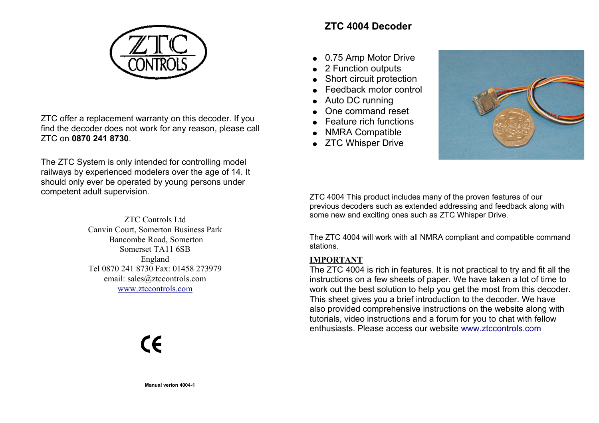

ZTC offer a replacement warranty on this decoder. If you find the decoder does not work for any reason, please call ZTC on **0870 241 8730**.

The ZTC System is only intended for controlling model railways by experienced modelers over the age of 14. It should only ever be operated by young persons under competent adult supervision.



CE

# **ZTC 4004 Decoder**

- 0.75 Amp Motor Drive
- 2 Function outputs
- Short circuit protection
- Feedback motor control
- Auto DC running
- One command reset
- Feature rich functions
- NMRA Compatible
- ZTC Whisper Drive



ZTC 4004 This product includes many of the proven features of our previous decoders such as extended addressing and feedback along with some new and exciting ones such as ZTC Whisper Drive.

The ZTC 4004 will work with all NMRA compliant and compatible command stations.

## **IMPORTANT**

[The ZTC 4004 is rich in features. It is not practical to try and fit all the](http://www.ztccontrols.com/ZTC4007) instructions on a few sheets of paper. We have taken a lot of time to [work out the best solution to help you get the most from this decoder.](http://www.ztccontrols.com/ZTC4007) This sheet gives you a brief introduction to the decoder. We have also provided comprehensive instructions on the website along with tutorials, video instructions and a forum for you to chat with fellow [enthusiasts. Please access our website](http://www.ztccontrols.com/ZTC4007) [www.ztccontrols.com](http://www.ztccontrols.com/ztc40)